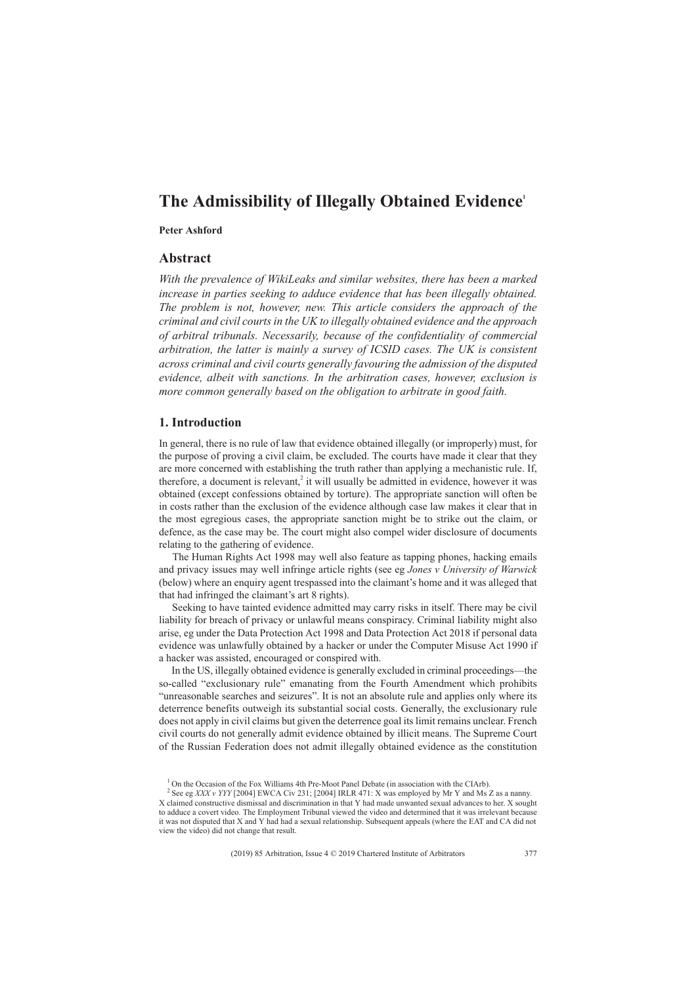# **The Admissibility of Illegally Obtained Evidence1**

### **Peter Ashford**

### **Abstract**

*With the prevalence of WikiLeaks and similar websites, there has been a marked increase in parties seeking to adduce evidence that has been illegally obtained. The problem is not, however, new. This article considers the approach of the criminal and civil courts in the UK to illegally obtained evidence and the approach of arbitral tribunals. Necessarily, because of the confidentiality of commercial arbitration, the latter is mainly a survey of ICSID cases. The UK is consistent across criminal and civil courts generally favouring the admission of the disputed evidence, albeit with sanctions. In the arbitration cases, however, exclusion is more common generally based on the obligation to arbitrate in good faith.*

### **1. Introduction**

In general, there is no rule of law that evidence obtained illegally (or improperly) must, for the purpose of proving a civil claim, be excluded. The courts have made it clear that they are more concerned with establishing the truth rather than applying a mechanistic rule. If, therefore, a document is relevant.<sup>2</sup> it will usually be admitted in evidence, however it was obtained (except confessions obtained by torture). The appropriate sanction will often be in costs rather than the exclusion of the evidence although case law makes it clear that in the most egregious cases, the appropriate sanction might be to strike out the claim, or defence, as the case may be. The court might also compel wider disclosure of documents relating to the gathering of evidence.

The Human Rights Act 1998 may well also feature as tapping phones, hacking emails and privacy issues may well infringe article rights (see eg *Jones v University of Warwick* (below) where an enquiry agent trespassed into the claimant's home and it was alleged that that had infringed the claimant's art 8 rights).

Seeking to have tainted evidence admitted may carry risks in itself. There may be civil liability for breach of privacy or unlawful means conspiracy. Criminal liability might also arise, eg under the Data Protection Act 1998 and Data Protection Act 2018 if personal data evidence was unlawfully obtained by a hacker or under the Computer Misuse Act 1990 if a hacker was assisted, encouraged or conspired with.

In the US, illegally obtained evidence is generally excluded in criminal proceedings—the so-called "exclusionary rule" emanating from the Fourth Amendment which prohibits "unreasonable searches and seizures". It is not an absolute rule and applies only where its deterrence benefits outweigh its substantial social costs. Generally, the exclusionary rule does not apply in civil claims but given the deterrence goal its limit remains unclear. French civil courts do not generally admit evidence obtained by illicit means. The Supreme Court of the Russian Federation does not admit illegally obtained evidence as the constitution

<sup>&</sup>lt;sup>1</sup> On the Occasion of the Fox Williams 4th Pre-Moot Panel Debate (in association with the CIArb).

<sup>&</sup>lt;sup>2</sup> See eg *XXX v YYY* [2004] EWCA Civ 231; [2004] IRLR 471: X was employed by Mr Y and Ms Z as a nanny. X claimed constructive dismissal and discrimination in that Y had made unwanted sexual advances to her. X sought to adduce a covert video. The Employment Tribunal viewed the video and determined that it was irrelevant because it was not disputed that X and Y had had a sexual relationship. Subsequent appeals (where the EAT and CA did not view the video) did not change that result.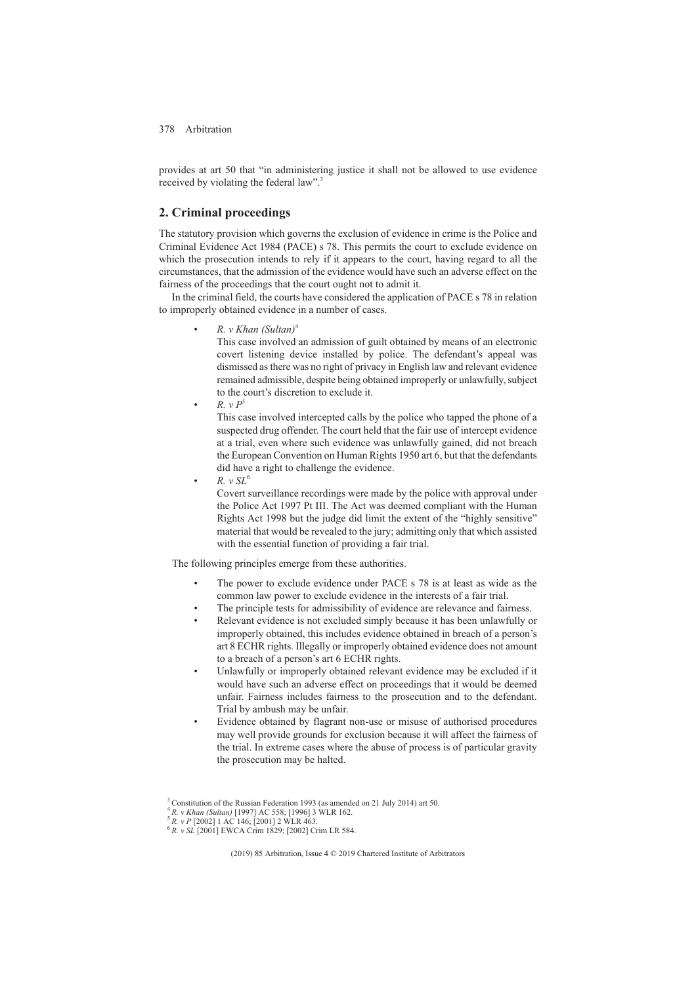provides at art 50 that "in administering justice it shall not be allowed to use evidence received by violating the federal law".<sup>3</sup>

## **2. Criminal proceedings**

The statutory provision which governs the exclusion of evidence in crime is the Police and Criminal Evidence Act 1984 (PACE) s 78. This permits the court to exclude evidence on which the prosecution intends to rely if it appears to the court, having regard to all the circumstances, that the admission of the evidence would have such an adverse effect on the fairness of the proceedings that the court ought not to admit it.

In the criminal field, the courts have considered the application of PACE s 78 in relation to improperly obtained evidence in a number of cases.

• *R. v Khan (Sultan)*<sup>4</sup>

This case involved an admission of guilt obtained by means of an electronic covert listening device installed by police. The defendant's appeal was dismissed as there was no right of privacy in English law and relevant evidence remained admissible, despite being obtained improperly or unlawfully, subject to the court's discretion to exclude it.

 $R. v P^5$ 

This case involved intercepted calls by the police who tapped the phone of a suspected drug offender. The court held that the fair use of intercept evidence at a trial, even where such evidence was unlawfully gained, did not breach the European Convention on Human Rights 1950 art 6, but that the defendants did have a right to challenge the evidence.

• *R. v SL*<sup>6</sup>

Covert surveillance recordings were made by the police with approval under the Police Act 1997 Pt III. The Act was deemed compliant with the Human Rights Act 1998 but the judge did limit the extent of the "highly sensitive" material that would be revealed to the jury; admitting only that which assisted with the essential function of providing a fair trial.

The following principles emerge from these authorities.

- The power to exclude evidence under PACE s 78 is at least as wide as the common law power to exclude evidence in the interests of a fair trial.
- The principle tests for admissibility of evidence are relevance and fairness.
- Relevant evidence is not excluded simply because it has been unlawfully or improperly obtained, this includes evidence obtained in breach of a person's art 8 ECHR rights. Illegally or improperly obtained evidence does not amount to a breach of a person's art 6 ECHR rights.
- Unlawfully or improperly obtained relevant evidence may be excluded if it would have such an adverse effect on proceedings that it would be deemed unfair. Fairness includes fairness to the prosecution and to the defendant. Trial by ambush may be unfair.
- Evidence obtained by flagrant non-use or misuse of authorised procedures may well provide grounds for exclusion because it will affect the fairness of the trial. In extreme cases where the abuse of process is of particular gravity the prosecution may be halted.

<sup>&</sup>lt;sup>3</sup> Constitution of the Russian Federation 1993 (as amended on 21 July 2014) art 50.<br><sup>4</sup> R. *v Khan (Sultan)* [1997] AC 558; [1996] 3 WLR 162.

<sup>&</sup>lt;sup>5</sup> *R. v P* [2002] 1 AC 146; [2001] 2 WLR 463.<br><sup>6</sup> *R. v SL* [2001] EWCA Crim 1829; [2002] Crim LR 584.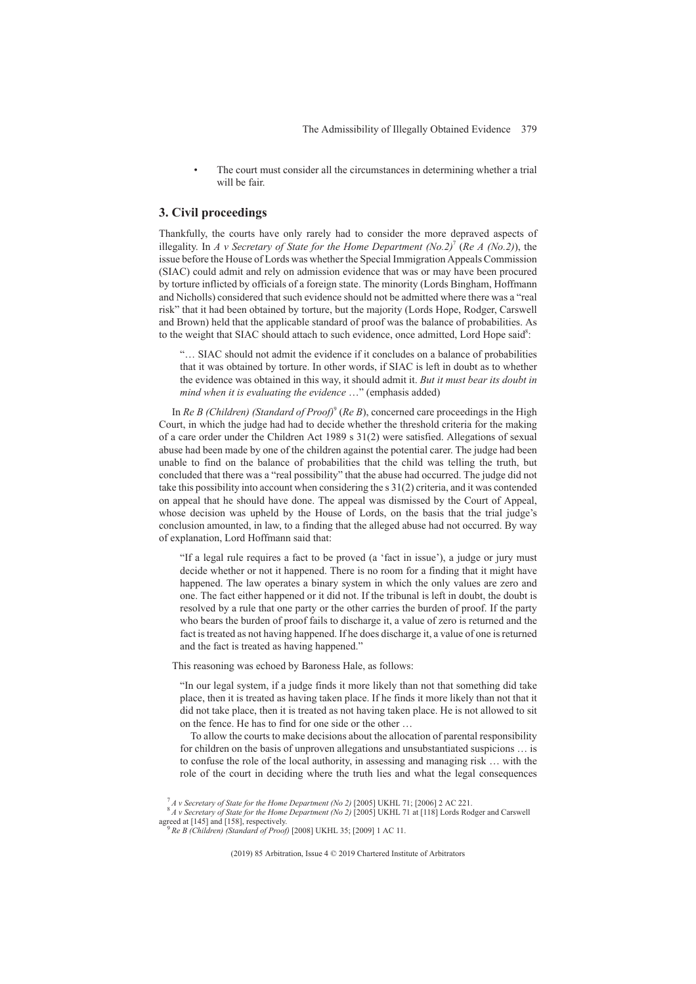The court must consider all the circumstances in determining whether a trial will be fair.

### **3. Civil proceedings**

Thankfully, the courts have only rarely had to consider the more depraved aspects of illegality. In *A v Secretary of State for the Home Department (No.2)*<sup>7</sup> (*Re A (No.2)*), the issue before the House of Lords was whether the Special Immigration Appeals Commission (SIAC) could admit and rely on admission evidence that was or may have been procured by torture inflicted by officials of a foreign state. The minority (Lords Bingham, Hoffmann and Nicholls) considered that such evidence should not be admitted where there was a "real risk" that it had been obtained by torture, but the majority (Lords Hope, Rodger, Carswell and Brown) held that the applicable standard of proof was the balance of probabilities. As to the weight that SIAC should attach to such evidence, once admitted, Lord Hope said8:

"… SIAC should not admit the evidence if it concludes on a balance of probabilities that it was obtained by torture. In other words, if SIAC is left in doubt as to whether the evidence was obtained in this way, it should admit it. *But it must bear its doubt in mind when it is evaluating the evidence* …" (emphasis added)

In *Re B (Children) (Standard of Proof)<sup>9</sup> (Re B)*, concerned care proceedings in the High Court, in which the judge had had to decide whether the threshold criteria for the making of a care order under the Children Act 1989 s 31(2) were satisfied. Allegations of sexual abuse had been made by one of the children against the potential carer. The judge had been unable to find on the balance of probabilities that the child was telling the truth, but concluded that there was a "real possibility" that the abuse had occurred. The judge did not take this possibility into account when considering the s 31(2) criteria, and it was contended on appeal that he should have done. The appeal was dismissed by the Court of Appeal, whose decision was upheld by the House of Lords, on the basis that the trial judge's conclusion amounted, in law, to a finding that the alleged abuse had not occurred. By way of explanation, Lord Hoffmann said that:

"If a legal rule requires a fact to be proved (a 'fact in issue'), a judge or jury must decide whether or not it happened. There is no room for a finding that it might have happened. The law operates a binary system in which the only values are zero and one. The fact either happened or it did not. If the tribunal is left in doubt, the doubt is resolved by a rule that one party or the other carries the burden of proof. If the party who bears the burden of proof fails to discharge it, a value of zero is returned and the fact is treated as not having happened. If he does discharge it, a value of one is returned and the fact is treated as having happened."

This reasoning was echoed by Baroness Hale, as follows:

"In our legal system, if a judge finds it more likely than not that something did take place, then it is treated as having taken place. If he finds it more likely than not that it did not take place, then it is treated as not having taken place. He is not allowed to sit on the fence. He has to find for one side or the other …

To allow the courts to make decisions about the allocation of parental responsibility for children on the basis of unproven allegations and unsubstantiated suspicions … is to confuse the role of the local authority, in assessing and managing risk … with the role of the court in deciding where the truth lies and what the legal consequences

<sup>7</sup> *A v Secretary of State for the Home Department (No 2)* [2005] UKHL 71; [2006] 2 AC 221. <sup>8</sup> *A v Secretary of State for the Home Department (No 2)* [2005] UKHL 71 at [118] Lords Rodger and Carswell

agreed at [145] and [158], respectively.<br><sup>9</sup> *Re B (Children) (Standard of Proof)* [2008] UKHL 35: [2009] 1 AC 11.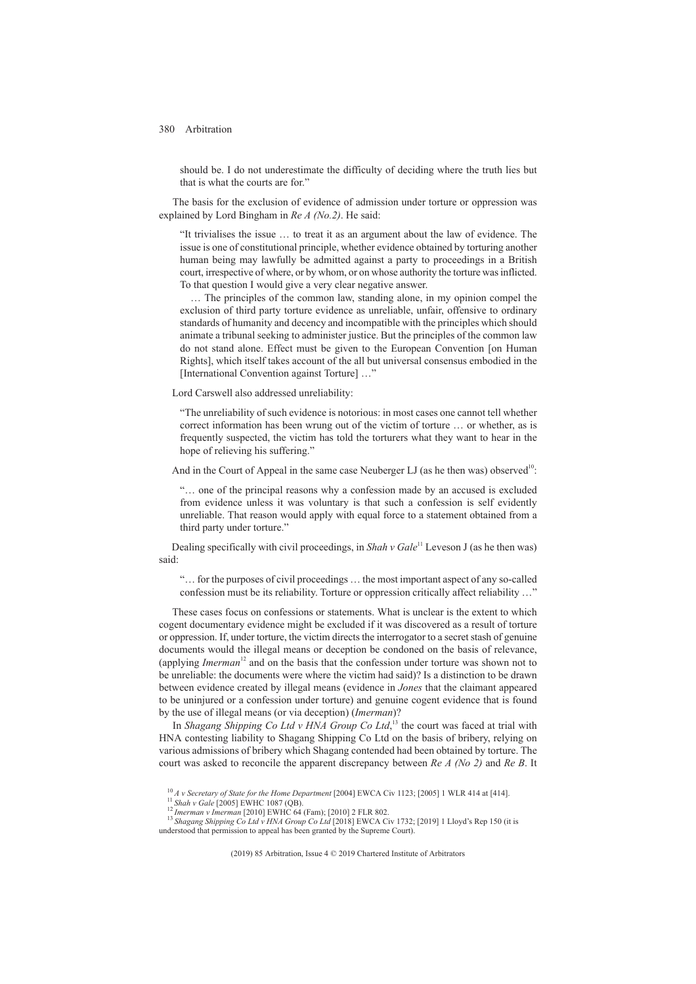should be. I do not underestimate the difficulty of deciding where the truth lies but that is what the courts are for."

The basis for the exclusion of evidence of admission under torture or oppression was explained by Lord Bingham in *Re A (No.2)*. He said:

"It trivialises the issue … to treat it as an argument about the law of evidence. The issue is one of constitutional principle, whether evidence obtained by torturing another human being may lawfully be admitted against a party to proceedings in a British court, irrespective of where, or by whom, or on whose authority the torture was inflicted. To that question I would give a very clear negative answer.

… The principles of the common law, standing alone, in my opinion compel the exclusion of third party torture evidence as unreliable, unfair, offensive to ordinary standards of humanity and decency and incompatible with the principles which should animate a tribunal seeking to administer justice. But the principles of the common law do not stand alone. Effect must be given to the European Convention [on Human Rights], which itself takes account of the all but universal consensus embodied in the [International Convention against Torture] ...'

Lord Carswell also addressed unreliability:

"The unreliability of such evidence is notorious: in most cases one cannot tell whether correct information has been wrung out of the victim of torture … or whether, as is frequently suspected, the victim has told the torturers what they want to hear in the hope of relieving his suffering."

And in the Court of Appeal in the same case Neuberger LJ (as he then was) observed<sup>10</sup>:

"… one of the principal reasons why a confession made by an accused is excluded from evidence unless it was voluntary is that such a confession is self evidently unreliable. That reason would apply with equal force to a statement obtained from a third party under torture."

Dealing specifically with civil proceedings, in *Shah v Gale*<sup>11</sup> Leveson J (as he then was) said:

"… for the purposes of civil proceedings … the most important aspect of any so-called confession must be its reliability. Torture or oppression critically affect reliability …"

These cases focus on confessions or statements. What is unclear is the extent to which cogent documentary evidence might be excluded if it was discovered as a result of torture or oppression. If, under torture, the victim directs the interrogator to a secret stash of genuine documents would the illegal means or deception be condoned on the basis of relevance, (applying *Imerman*<sup>12</sup> and on the basis that the confession under torture was shown not to be unreliable: the documents were where the victim had said)? Is a distinction to be drawn between evidence created by illegal means (evidence in *Jones* that the claimant appeared to be uninjured or a confession under torture) and genuine cogent evidence that is found by the use of illegal means (or via deception) (*Imerman*)?

In *Shagang Shipping Co Ltd v HNA Group Co Ltd*, <sup>13</sup> the court was faced at trial with HNA contesting liability to Shagang Shipping Co Ltd on the basis of bribery, relying on various admissions of bribery which Shagang contended had been obtained by torture. The court was asked to reconcile the apparent discrepancy between *Re A (No 2)* and *Re B*. It

<sup>&</sup>lt;sup>10</sup> A v Secretary of State for the Home Department [2004] EWCA Civ 1123; [2005] 1 WLR 414 at [414].<br><sup>11</sup> Shah v Gale [2005] EWHC 1087 (QB).<br><sup>12</sup> Imerman v Imerman [2010] EWHC 64 (Fam); [2010] 2 FLR 802.

understood that permission to appeal has been granted by the Supreme Court).<br>
<sup>13</sup>Shagang Shipping Co Ltd v HNA Group Co Ltd [2018] EWCA Civ 1732; [2019] 1 Lloyd's Rep 150 (it is understood that permission to appeal has b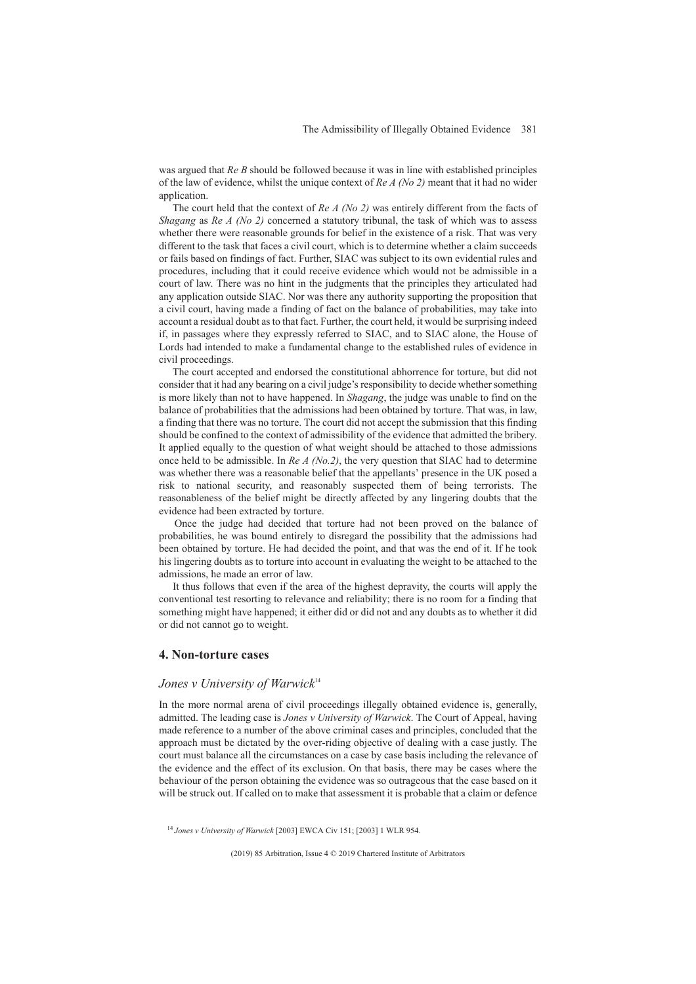was argued that *Re B* should be followed because it was in line with established principles of the law of evidence, whilst the unique context of *Re A (No 2)* meant that it had no wider application.

The court held that the context of *Re A (No 2)* was entirely different from the facts of *Shagang* as *Re A (No 2)* concerned a statutory tribunal, the task of which was to assess whether there were reasonable grounds for belief in the existence of a risk. That was very different to the task that faces a civil court, which is to determine whether a claim succeeds or fails based on findings of fact. Further, SIAC was subject to its own evidential rules and procedures, including that it could receive evidence which would not be admissible in a court of law. There was no hint in the judgments that the principles they articulated had any application outside SIAC. Nor was there any authority supporting the proposition that a civil court, having made a finding of fact on the balance of probabilities, may take into account a residual doubt as to that fact. Further, the court held, it would be surprising indeed if, in passages where they expressly referred to SIAC, and to SIAC alone, the House of Lords had intended to make a fundamental change to the established rules of evidence in civil proceedings.

The court accepted and endorsed the constitutional abhorrence for torture, but did not consider that it had any bearing on a civil judge's responsibility to decide whether something is more likely than not to have happened. In *Shagang*, the judge was unable to find on the balance of probabilities that the admissions had been obtained by torture. That was, in law, a finding that there was no torture. The court did not accept the submission that this finding should be confined to the context of admissibility of the evidence that admitted the bribery. It applied equally to the question of what weight should be attached to those admissions once held to be admissible. In *Re A (No.2)*, the very question that SIAC had to determine was whether there was a reasonable belief that the appellants' presence in the UK posed a risk to national security, and reasonably suspected them of being terrorists. The reasonableness of the belief might be directly affected by any lingering doubts that the evidence had been extracted by torture.

Once the judge had decided that torture had not been proved on the balance of probabilities, he was bound entirely to disregard the possibility that the admissions had been obtained by torture. He had decided the point, and that was the end of it. If he took his lingering doubts as to torture into account in evaluating the weight to be attached to the admissions, he made an error of law.

It thus follows that even if the area of the highest depravity, the courts will apply the conventional test resorting to relevance and reliability; there is no room for a finding that something might have happened; it either did or did not and any doubts as to whether it did or did not cannot go to weight.

### **4. Non-torture cases**

## *Jones v University of Warwick*<sup>14</sup>

In the more normal arena of civil proceedings illegally obtained evidence is, generally, admitted. The leading case is *Jones v University of Warwick*. The Court of Appeal, having made reference to a number of the above criminal cases and principles, concluded that the approach must be dictated by the over-riding objective of dealing with a case justly. The court must balance all the circumstances on a case by case basis including the relevance of the evidence and the effect of its exclusion. On that basis, there may be cases where the behaviour of the person obtaining the evidence was so outrageous that the case based on it will be struck out. If called on to make that assessment it is probable that a claim or defence

<sup>14</sup> *Jones v University of Warwick* [2003] EWCA Civ 151; [2003] 1 WLR 954.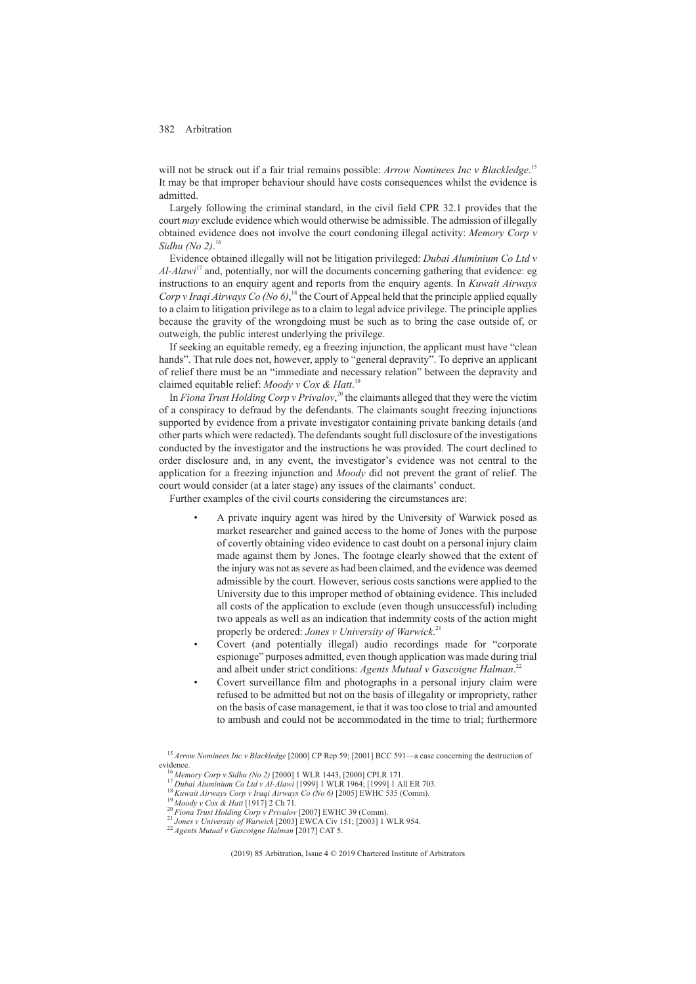will not be struck out if a fair trial remains possible: *Arrow Nominees Inc v Blackledge*.<sup>15</sup> It may be that improper behaviour should have costs consequences whilst the evidence is admitted.

Largely following the criminal standard, in the civil field CPR 32.1 provides that the court *may* exclude evidence which would otherwise be admissible. The admission of illegally obtained evidence does not involve the court condoning illegal activity: *Memory Corp v Sidhu (No 2)*. 16

Evidence obtained illegally will not be litigation privileged: *Dubai Aluminium Co Ltd v Al-Alawi*<sup>17</sup> and, potentially, nor will the documents concerning gathering that evidence: eg instructions to an enquiry agent and reports from the enquiry agents. In *Kuwait Airways* Corp v Iraqi Airways Co (No 6),<sup>18</sup> the Court of Appeal held that the principle applied equally to a claim to litigation privilege as to a claim to legal advice privilege. The principle applies because the gravity of the wrongdoing must be such as to bring the case outside of, or outweigh, the public interest underlying the privilege.

If seeking an equitable remedy, eg a freezing injunction, the applicant must have "clean hands". That rule does not, however, apply to "general depravity". To deprive an applicant of relief there must be an "immediate and necessary relation" between the depravity and claimed equitable relief: *Moody v Cox & Hatt*. 19

In *Fiona Trust Holding Corp v Privalov*, <sup>20</sup> the claimants alleged that they were the victim of a conspiracy to defraud by the defendants. The claimants sought freezing injunctions supported by evidence from a private investigator containing private banking details (and other parts which were redacted). The defendants sought full disclosure of the investigations conducted by the investigator and the instructions he was provided. The court declined to order disclosure and, in any event, the investigator's evidence was not central to the application for a freezing injunction and *Moody* did not prevent the grant of relief. The court would consider (at a later stage) any issues of the claimants' conduct.

Further examples of the civil courts considering the circumstances are:

- A private inquiry agent was hired by the University of Warwick posed as market researcher and gained access to the home of Jones with the purpose of covertly obtaining video evidence to cast doubt on a personal injury claim made against them by Jones. The footage clearly showed that the extent of the injury was not as severe as had been claimed, and the evidence was deemed admissible by the court. However, serious costs sanctions were applied to the University due to this improper method of obtaining evidence. This included all costs of the application to exclude (even though unsuccessful) including two appeals as well as an indication that indemnity costs of the action might properly be ordered: *Jones v University of Warwick*. 21
- Covert (and potentially illegal) audio recordings made for "corporate espionage" purposes admitted, even though application was made during trial and albeit under strict conditions: *Agents Mutual v Gascoigne Halman*. 22
- Covert surveillance film and photographs in a personal injury claim were refused to be admitted but not on the basis of illegality or impropriety, rather on the basis of case management, ie that it was too close to trial and amounted to ambush and could not be accommodated in the time to trial; furthermore

<sup>15</sup> *Arrow Nominees Inc v Blackledge* [2000] CP Rep 59; [2001] BCC 591—a case concerning the destruction of evidence.<br>
<sup>16</sup> Memory Corp v Sidhu (No 2) [2000] 1 WLR 1443, [2000] CPLR 171.<br>
<sup>17</sup> Dubai Aluminium Co Ltd v Al-Alawi [1999] 1 WLR 1964; [1999] 1 All ER 703.<br>
<sup>18</sup> Kuwait Airways Corp v Iraqi Airways Co (No 6) [2005] EWH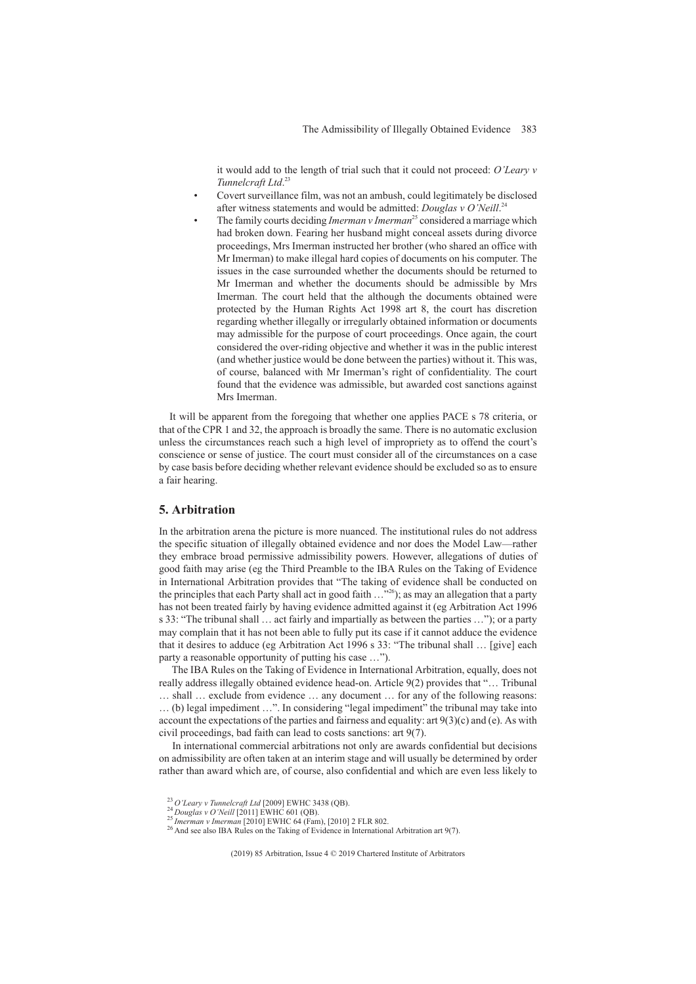it would add to the length of trial such that it could not proceed: *O'Leary v Tunnelcraft Ltd*. 23

- Covert surveillance film, was not an ambush, could legitimately be disclosed after witness statements and would be admitted: *Douglas v O'Neill*. 24
- The family courts deciding *Imerman v Imerman*<sup>25</sup> considered a marriage which had broken down. Fearing her husband might conceal assets during divorce proceedings, Mrs Imerman instructed her brother (who shared an office with Mr Imerman) to make illegal hard copies of documents on his computer. The issues in the case surrounded whether the documents should be returned to Mr Imerman and whether the documents should be admissible by Mrs Imerman. The court held that the although the documents obtained were protected by the Human Rights Act 1998 art 8, the court has discretion regarding whether illegally or irregularly obtained information or documents may admissible for the purpose of court proceedings. Once again, the court considered the over-riding objective and whether it was in the public interest (and whether justice would be done between the parties) without it. This was, of course, balanced with Mr Imerman's right of confidentiality. The court found that the evidence was admissible, but awarded cost sanctions against Mrs Imerman.

It will be apparent from the foregoing that whether one applies PACE s 78 criteria, or that of the CPR 1 and 32, the approach is broadly the same. There is no automatic exclusion unless the circumstances reach such a high level of impropriety as to offend the court's conscience or sense of justice. The court must consider all of the circumstances on a case by case basis before deciding whether relevant evidence should be excluded so as to ensure a fair hearing.

## **5. Arbitration**

In the arbitration arena the picture is more nuanced. The institutional rules do not address the specific situation of illegally obtained evidence and nor does the Model Law—rather they embrace broad permissive admissibility powers. However, allegations of duties of good faith may arise (eg the Third Preamble to the IBA Rules on the Taking of Evidence in International Arbitration provides that "The taking of evidence shall be conducted on the principles that each Party shall act in good faith  $\dots^{26}$ ; as may an allegation that a party has not been treated fairly by having evidence admitted against it (eg Arbitration Act 1996 s 33: "The tribunal shall … act fairly and impartially as between the parties …"); or a party may complain that it has not been able to fully put its case if it cannot adduce the evidence that it desires to adduce (eg Arbitration Act 1996 s 33: "The tribunal shall … [give] each party a reasonable opportunity of putting his case …").

The IBA Rules on the Taking of Evidence in International Arbitration, equally, does not really address illegally obtained evidence head-on. Article 9(2) provides that "… Tribunal

… shall … exclude from evidence … any document … for any of the following reasons: … (b) legal impediment …". In considering "legal impediment" the tribunal may take into account the expectations of the parties and fairness and equality: art  $9(3)(c)$  and (e). As with civil proceedings, bad faith can lead to costs sanctions: art 9(7).

In international commercial arbitrations not only are awards confidential but decisions on admissibility are often taken at an interim stage and will usually be determined by order rather than award which are, of course, also confidential and which are even less likely to

<sup>&</sup>lt;sup>23</sup> O'Leary v Tunnelcraft Ltd [2009] EWHC 3438 (QB).<br><sup>24</sup> Douglas v O'Neill [2011] EWHC 601 (QB).<br><sup>25</sup> Imerman v Imerman [2010] EWHC 64 (Fam), [2010] 2 FLR 802.<br><sup>26</sup> And see also IBA Rules on the Taking of Evidence in In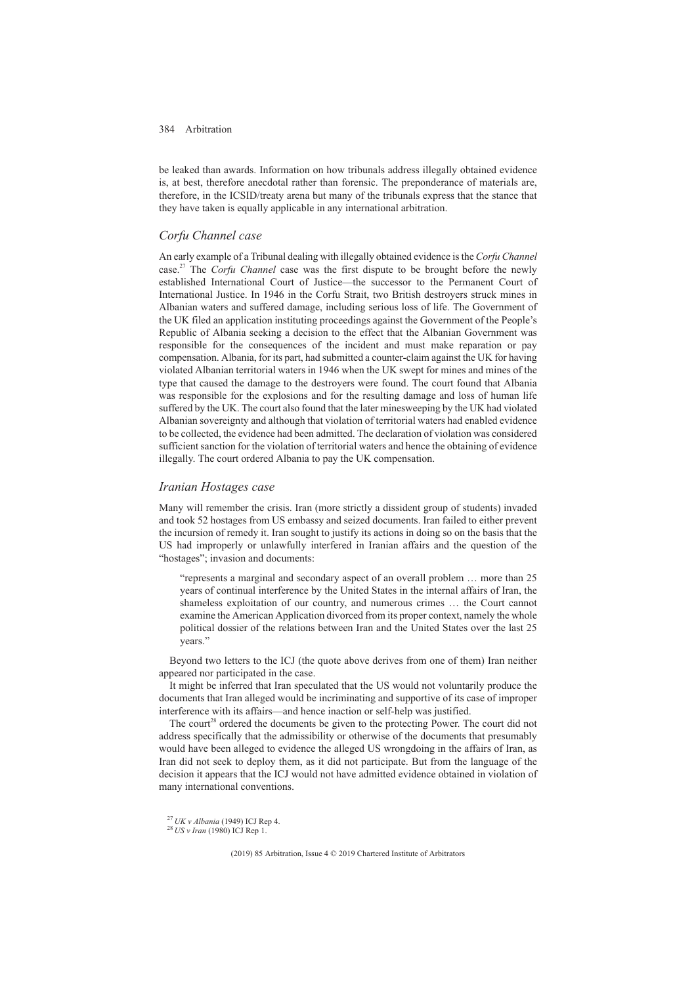be leaked than awards. Information on how tribunals address illegally obtained evidence is, at best, therefore anecdotal rather than forensic. The preponderance of materials are, therefore, in the ICSID/treaty arena but many of the tribunals express that the stance that they have taken is equally applicable in any international arbitration.

### *Corfu Channel case*

An early example of a Tribunal dealing with illegally obtained evidence is the *Corfu Channel* case.27 The *Corfu Channel* case was the first dispute to be brought before the newly established International Court of Justice—the successor to the Permanent Court of International Justice. In 1946 in the Corfu Strait, two British destroyers struck mines in Albanian waters and suffered damage, including serious loss of life. The Government of the UK filed an application instituting proceedings against the Government of the People's Republic of Albania seeking a decision to the effect that the Albanian Government was responsible for the consequences of the incident and must make reparation or pay compensation. Albania, for its part, had submitted a counter-claim against the UK for having violated Albanian territorial waters in 1946 when the UK swept for mines and mines of the type that caused the damage to the destroyers were found. The court found that Albania was responsible for the explosions and for the resulting damage and loss of human life suffered by the UK. The court also found that the later minesweeping by the UK had violated Albanian sovereignty and although that violation of territorial waters had enabled evidence to be collected, the evidence had been admitted. The declaration of violation was considered sufficient sanction for the violation of territorial waters and hence the obtaining of evidence illegally. The court ordered Albania to pay the UK compensation.

### *Iranian Hostages case*

Many will remember the crisis. Iran (more strictly a dissident group of students) invaded and took 52 hostages from US embassy and seized documents. Iran failed to either prevent the incursion of remedy it. Iran sought to justify its actions in doing so on the basis that the US had improperly or unlawfully interfered in Iranian affairs and the question of the "hostages"; invasion and documents:

"represents a marginal and secondary aspect of an overall problem … more than 25 years of continual interference by the United States in the internal affairs of Iran, the shameless exploitation of our country, and numerous crimes … the Court cannot examine the American Application divorced from its proper context, namely the whole political dossier of the relations between Iran and the United States over the last 25 years."

Beyond two letters to the ICJ (the quote above derives from one of them) Iran neither appeared nor participated in the case.

It might be inferred that Iran speculated that the US would not voluntarily produce the documents that Iran alleged would be incriminating and supportive of its case of improper interference with its affairs—and hence inaction or self-help was justified.

The court<sup>28</sup> ordered the documents be given to the protecting Power. The court did not address specifically that the admissibility or otherwise of the documents that presumably would have been alleged to evidence the alleged US wrongdoing in the affairs of Iran, as Iran did not seek to deploy them, as it did not participate. But from the language of the decision it appears that the ICJ would not have admitted evidence obtained in violation of many international conventions.

<sup>27</sup> *UK v Albania* (1949) ICJ Rep 4. <sup>28</sup> *US v Iran* (1980) ICJ Rep 1.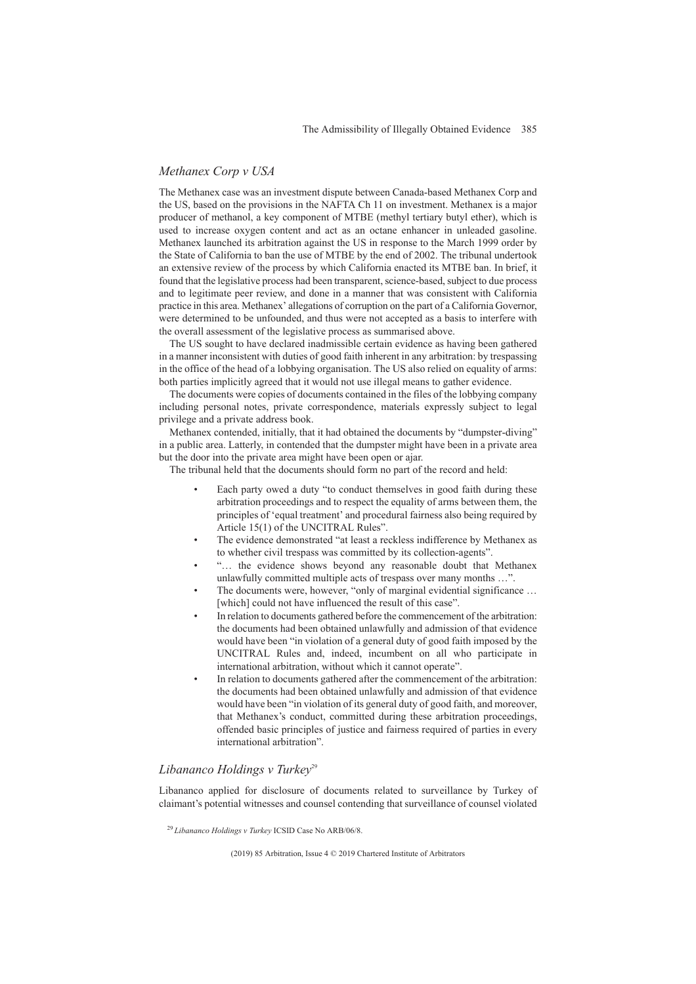## *Methanex Corp v USA*

The Methanex case was an investment dispute between Canada-based Methanex Corp and the US, based on the provisions in the NAFTA Ch 11 on investment. Methanex is a major producer of methanol, a key component of MTBE (methyl tertiary butyl ether), which is used to increase oxygen content and act as an octane enhancer in unleaded gasoline. Methanex launched its arbitration against the US in response to the March 1999 order by the State of California to ban the use of MTBE by the end of 2002. The tribunal undertook an extensive review of the process by which California enacted its MTBE ban. In brief, it found that the legislative process had been transparent, science-based, subject to due process and to legitimate peer review, and done in a manner that was consistent with California practice in this area. Methanex' allegations of corruption on the part of a California Governor, were determined to be unfounded, and thus were not accepted as a basis to interfere with the overall assessment of the legislative process as summarised above.

The US sought to have declared inadmissible certain evidence as having been gathered in a manner inconsistent with duties of good faith inherent in any arbitration: by trespassing in the office of the head of a lobbying organisation. The US also relied on equality of arms: both parties implicitly agreed that it would not use illegal means to gather evidence.

The documents were copies of documents contained in the files of the lobbying company including personal notes, private correspondence, materials expressly subject to legal privilege and a private address book.

Methanex contended, initially, that it had obtained the documents by "dumpster-diving" in a public area. Latterly, in contended that the dumpster might have been in a private area but the door into the private area might have been open or ajar.

The tribunal held that the documents should form no part of the record and held:

- Each party owed a duty "to conduct themselves in good faith during these arbitration proceedings and to respect the equality of arms between them, the principles of 'equal treatment' and procedural fairness also being required by Article 15(1) of the UNCITRAL Rules".
- The evidence demonstrated "at least a reckless indifference by Methanex as to whether civil trespass was committed by its collection-agents".
- "… the evidence shows beyond any reasonable doubt that Methanex unlawfully committed multiple acts of trespass over many months …".
- The documents were, however, "only of marginal evidential significance ... [which] could not have influenced the result of this case".
- In relation to documents gathered before the commencement of the arbitration: the documents had been obtained unlawfully and admission of that evidence would have been "in violation of a general duty of good faith imposed by the UNCITRAL Rules and, indeed, incumbent on all who participate in international arbitration, without which it cannot operate".
- In relation to documents gathered after the commencement of the arbitration: the documents had been obtained unlawfully and admission of that evidence would have been "in violation of its general duty of good faith, and moreover, that Methanex's conduct, committed during these arbitration proceedings, offended basic principles of justice and fairness required of parties in every international arbitration".

## Libananco Holdings v Turkey<sup>29</sup>

Libananco applied for disclosure of documents related to surveillance by Turkey of claimant's potential witnesses and counsel contending that surveillance of counsel violated

<sup>29</sup> *Libananco Holdings v Turkey* ICSID Case No ARB/06/8.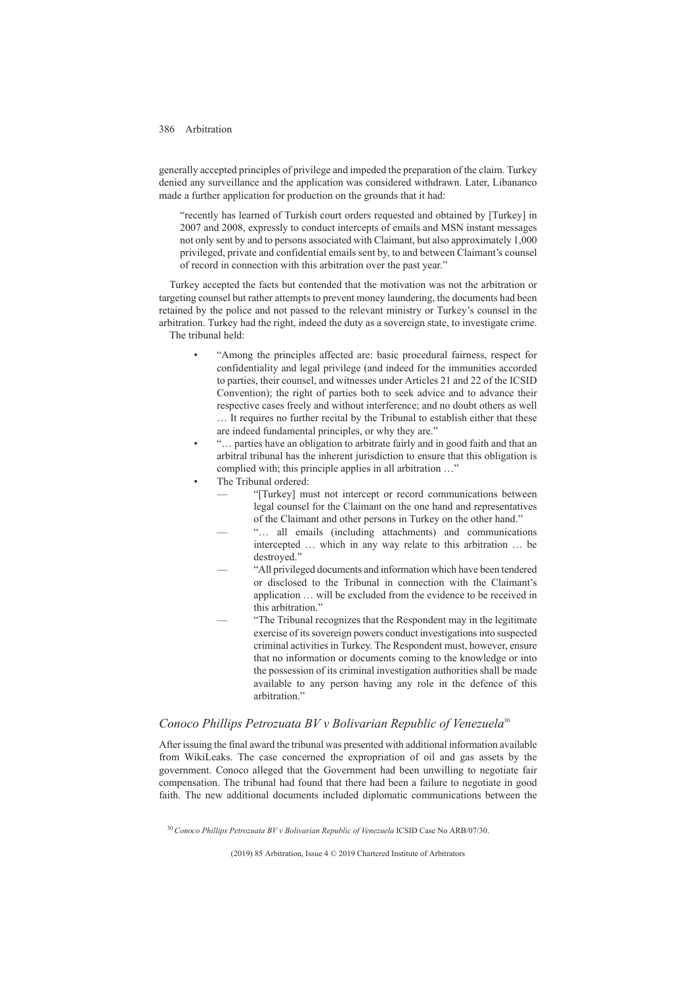generally accepted principles of privilege and impeded the preparation of the claim. Turkey denied any surveillance and the application was considered withdrawn. Later, Libananco made a further application for production on the grounds that it had:

"recently has learned of Turkish court orders requested and obtained by [Turkey] in 2007 and 2008, expressly to conduct intercepts of emails and MSN instant messages not only sent by and to persons associated with Claimant, but also approximately 1,000 privileged, private and confidential emails sent by, to and between Claimant's counsel of record in connection with this arbitration over the past year."

Turkey accepted the facts but contended that the motivation was not the arbitration or targeting counsel but rather attempts to prevent money laundering, the documents had been retained by the police and not passed to the relevant ministry or Turkey's counsel in the arbitration. Turkey had the right, indeed the duty as a sovereign state, to investigate crime. The tribunal held:

- "Among the principles affected are: basic procedural fairness, respect for confidentiality and legal privilege (and indeed for the immunities accorded to parties, their counsel, and witnesses under Articles 21 and 22 of the ICSID Convention); the right of parties both to seek advice and to advance their respective cases freely and without interference; and no doubt others as well … It requires no further recital by the Tribunal to establish either that these are indeed fundamental principles, or why they are."
- "… parties have an obligation to arbitrate fairly and in good faith and that an arbitral tribunal has the inherent jurisdiction to ensure that this obligation is complied with; this principle applies in all arbitration …"
- The Tribunal ordered:
	- "[Turkey] must not intercept or record communications between legal counsel for the Claimant on the one hand and representatives of the Claimant and other persons in Turkey on the other hand." —
	- "... all emails (including attachments) and communications intercepted … which in any way relate to this arbitration … be destroyed."
	- "All privileged documents and information which have been tendered or disclosed to the Tribunal in connection with the Claimant's application … will be excluded from the evidence to be received in this arbitration."
	- "The Tribunal recognizes that the Respondent may in the legitimate exercise of its sovereign powers conduct investigations into suspected criminal activities in Turkey. The Respondent must, however, ensure that no information or documents coming to the knowledge or into the possession of its criminal investigation authorities shall be made available to any person having any role in the defence of this arbitration."

### *Conoco Phillips Petrozuata BV v Bolivarian Republic of Venezuela*<sup>30</sup>

After issuing the final award the tribunal was presented with additional information available from WikiLeaks. The case concerned the expropriation of oil and gas assets by the government. Conoco alleged that the Government had been unwilling to negotiate fair compensation. The tribunal had found that there had been a failure to negotiate in good faith. The new additional documents included diplomatic communications between the

<sup>30</sup> *Conoco Phillips Petrozuata BV v Bolivarian Republic of Venezuela* ICSID Case No ARB/07/30.